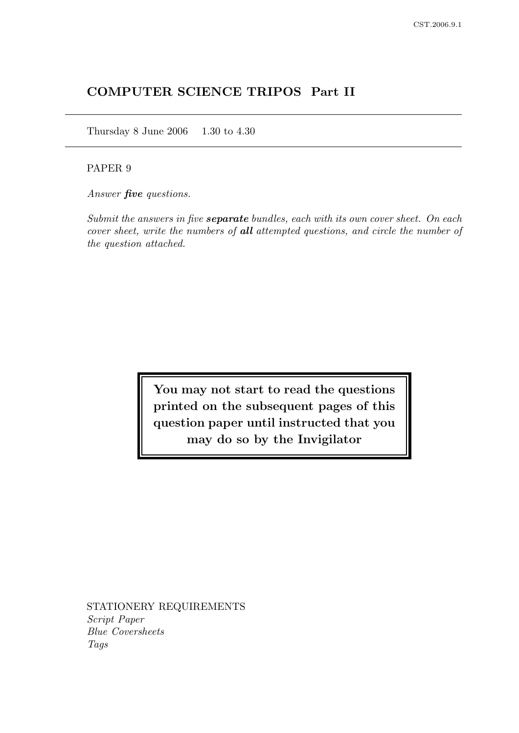# COMPUTER SCIENCE TRIPOS Part II

Thursday 8 June 2006 1.30 to 4.30

# PAPER 9

Answer **five** questions.

Submit the answers in five **separate** bundles, each with its own cover sheet. On each cover sheet, write the numbers of all attempted questions, and circle the number of the question attached.

> You may not start to read the questions printed on the subsequent pages of this question paper until instructed that you may do so by the Invigilator

STATIONERY REQUIREMENTS Script Paper Blue Coversheets Tags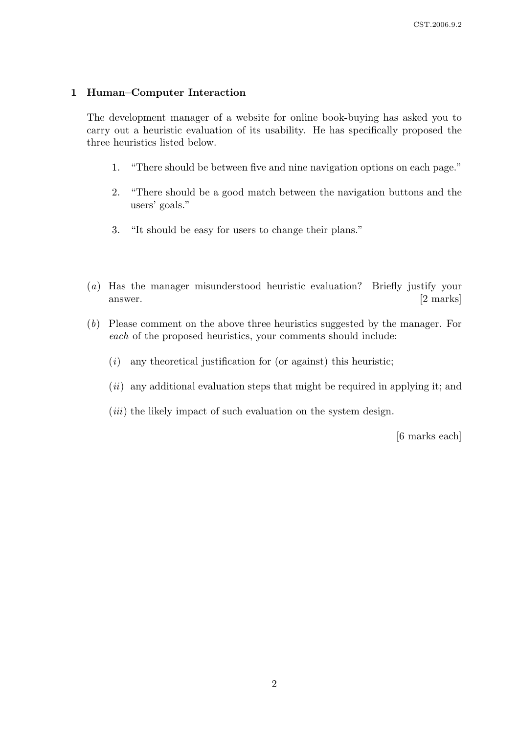# 1 Human–Computer Interaction

The development manager of a website for online book-buying has asked you to carry out a heuristic evaluation of its usability. He has specifically proposed the three heuristics listed below.

- 1. "There should be between five and nine navigation options on each page."
- 2. "There should be a good match between the navigation buttons and the users' goals."
- 3. "It should be easy for users to change their plans."
- (a) Has the manager misunderstood heuristic evaluation? Briefly justify your answer. [2 marks]
- (b) Please comment on the above three heuristics suggested by the manager. For each of the proposed heuristics, your comments should include:
	- $(i)$  any theoretical justification for (or against) this heuristic;
	- $(ii)$  any additional evaluation steps that might be required in applying it; and
	- $(iii)$  the likely impact of such evaluation on the system design.

[6 marks each]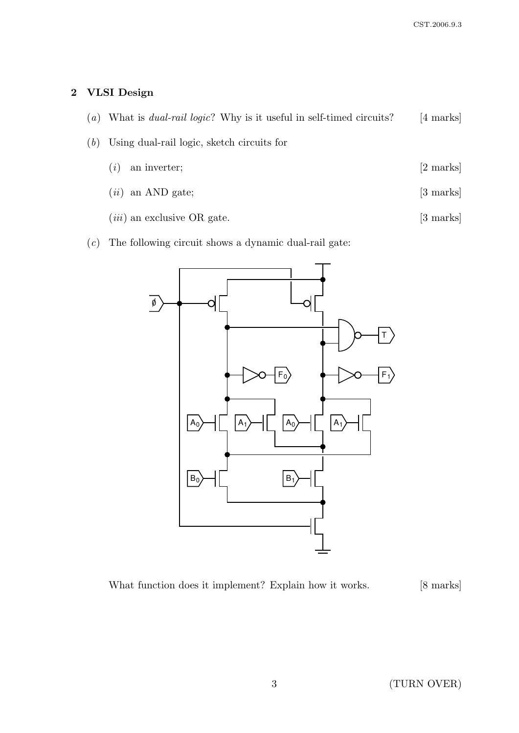# 2 VLSI Design

- (a) What is *dual-rail logic*? Why is it useful in self-timed circuits? [4 marks]
- (b) Using dual-rail logic, sketch circuits for
	- $(i)$  an inverter;  $[2 \text{ marks}]$
	- $(ii)$  an AND gate;  $[3 \text{ marks}]$
	- $(iii)$  an exclusive OR gate.  $[3 \text{ marks}]$
- (c) The following circuit shows a dynamic dual-rail gate:



What function does it implement? Explain how it works. [8 marks]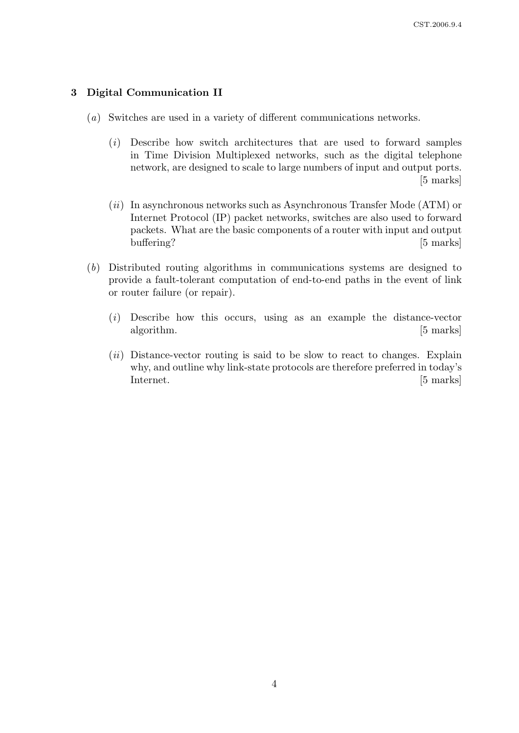## 3 Digital Communication II

- (a) Switches are used in a variety of different communications networks.
	- (i) Describe how switch architectures that are used to forward samples in Time Division Multiplexed networks, such as the digital telephone network, are designed to scale to large numbers of input and output ports. [5 marks]
	- $(ii)$  In asynchronous networks such as Asynchronous Transfer Mode (ATM) or Internet Protocol (IP) packet networks, switches are also used to forward packets. What are the basic components of a router with input and output buffering? [5 marks]
- (b) Distributed routing algorithms in communications systems are designed to provide a fault-tolerant computation of end-to-end paths in the event of link or router failure (or repair).
	- (i) Describe how this occurs, using as an example the distance-vector algorithm. [5 marks]
	- $(ii)$  Distance-vector routing is said to be slow to react to changes. Explain why, and outline why link-state protocols are therefore preferred in today's Internet. [5 marks]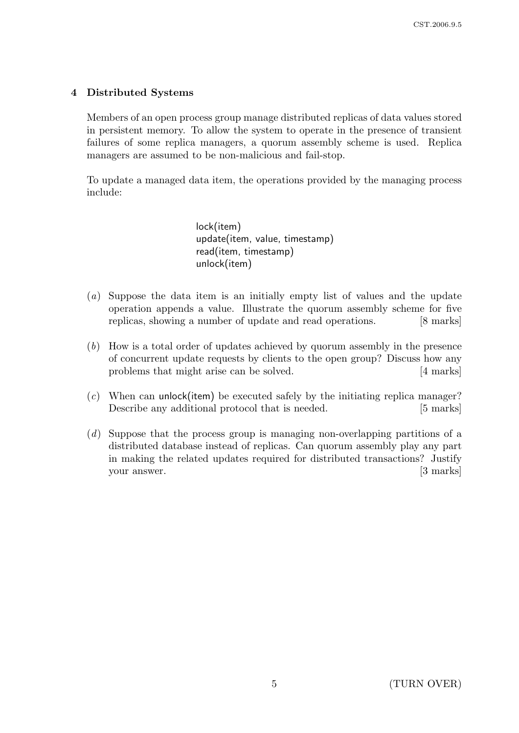# 4 Distributed Systems

Members of an open process group manage distributed replicas of data values stored in persistent memory. To allow the system to operate in the presence of transient failures of some replica managers, a quorum assembly scheme is used. Replica managers are assumed to be non-malicious and fail-stop.

To update a managed data item, the operations provided by the managing process include:

> lock(item) update(item, value, timestamp) read(item, timestamp) unlock(item)

- (a) Suppose the data item is an initially empty list of values and the update operation appends a value. Illustrate the quorum assembly scheme for five replicas, showing a number of update and read operations. [8 marks]
- (b) How is a total order of updates achieved by quorum assembly in the presence of concurrent update requests by clients to the open group? Discuss how any problems that might arise can be solved. [4 marks]
- $(c)$  When can unlock(item) be executed safely by the initiating replica manager? Describe any additional protocol that is needed. [5 marks]
- (d) Suppose that the process group is managing non-overlapping partitions of a distributed database instead of replicas. Can quorum assembly play any part in making the related updates required for distributed transactions? Justify your answer. [3 marks]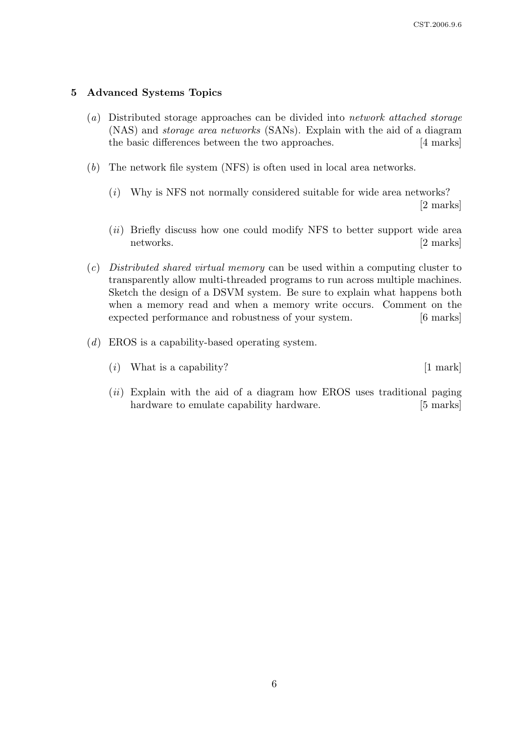## 5 Advanced Systems Topics

- (a) Distributed storage approaches can be divided into network attached storage (NAS) and storage area networks (SANs). Explain with the aid of a diagram the basic differences between the two approaches. [4 marks]
- (b) The network file system (NFS) is often used in local area networks.
	- (i) Why is NFS not normally considered suitable for wide area networks? [2 marks]
	- (ii) Briefly discuss how one could modify NFS to better support wide area networks. [2 marks]
- (c) Distributed shared virtual memory can be used within a computing cluster to transparently allow multi-threaded programs to run across multiple machines. Sketch the design of a DSVM system. Be sure to explain what happens both when a memory read and when a memory write occurs. Comment on the expected performance and robustness of your system. [6 marks]
- (d) EROS is a capability-based operating system.
	- (*i*) What is a capability?  $[1 \text{ mark}]$
	- $(ii)$  Explain with the aid of a diagram how EROS uses traditional paging hardware to emulate capability hardware. [5 marks]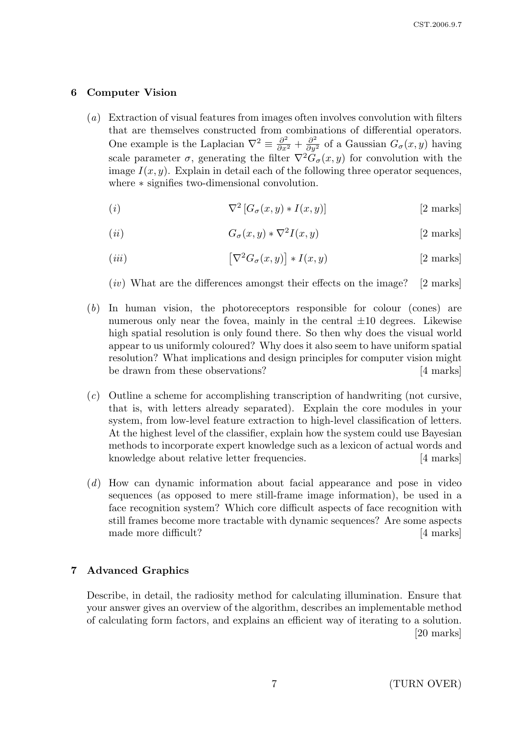## 6 Computer Vision

- (a) Extraction of visual features from images often involves convolution with filters that are themselves constructed from combinations of differential operators. One example is the Laplacian  $\nabla^2 \equiv \frac{\partial^2}{\partial x^2} + \frac{\partial^2}{\partial y^2}$  of a Gaussian  $G_{\sigma}(x, y)$  having scale parameter  $\sigma$ , generating the filter  $\nabla^2 \check{G}_{\sigma}(x, y)$  for convolution with the image  $I(x, y)$ . Explain in detail each of the following three operator sequences, where ∗ signifies two-dimensional convolution.
	- (*i*)  $\nabla^2$  $\nabla^2 \left[ G_\sigma(x, y) * I(x, y) \right]$  [2 marks]
	- (ii)  $G_{\sigma}(x, y) * \nabla^2 I(x, y)$  $[2 \text{ marks}]$
	- $(iii)$  $\left[\nabla^2 G_{\sigma}(x,y)\right]$  $[2 \text{ marks}]$
	- $(iv)$  What are the differences amongst their effects on the image? [2 marks]
- (b) In human vision, the photoreceptors responsible for colour (cones) are numerous only near the fovea, mainly in the central  $\pm 10$  degrees. Likewise high spatial resolution is only found there. So then why does the visual world appear to us uniformly coloured? Why does it also seem to have uniform spatial resolution? What implications and design principles for computer vision might be drawn from these observations? [4 marks]
- (c) Outline a scheme for accomplishing transcription of handwriting (not cursive, that is, with letters already separated). Explain the core modules in your system, from low-level feature extraction to high-level classification of letters. At the highest level of the classifier, explain how the system could use Bayesian methods to incorporate expert knowledge such as a lexicon of actual words and knowledge about relative letter frequencies. [4 marks]
- (d) How can dynamic information about facial appearance and pose in video sequences (as opposed to mere still-frame image information), be used in a face recognition system? Which core difficult aspects of face recognition with still frames become more tractable with dynamic sequences? Are some aspects made more difficult? [4 marks]

## 7 Advanced Graphics

Describe, in detail, the radiosity method for calculating illumination. Ensure that your answer gives an overview of the algorithm, describes an implementable method of calculating form factors, and explains an efficient way of iterating to a solution. [20 marks]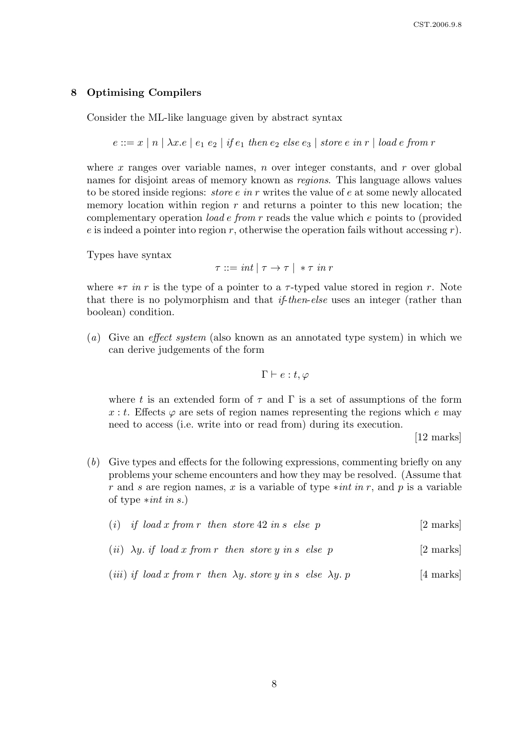## 8 Optimising Compilers

Consider the ML-like language given by abstract syntax

 $e ::= x \mid n \mid \lambda x.e \mid e_1 \mid e_2 \mid if \, e_1 \, then \, e_2 \, else \, e_3 \mid store \, e \, in \, r \mid load \, e \, from \, r$ 

where x ranges over variable names, n over integer constants, and r over global names for disjoint areas of memory known as regions. This language allows values to be stored inside regions: *store e in r* writes the value of e at some newly allocated memory location within region  $r$  and returns a pointer to this new location; the complementary operation load e from r reads the value which e points to (provided e is indeed a pointer into region r, otherwise the operation fails without accessing  $r$ ).

Types have syntax

 $\tau ::= int | \tau \rightarrow \tau | * \tau in r$ 

where  $\tau$  in r is the type of a pointer to a  $\tau$ -typed value stored in region r. Note that there is no polymorphism and that if-then-else uses an integer (rather than boolean) condition.

(a) Give an effect system (also known as an annotated type system) in which we can derive judgements of the form

$$
\Gamma \vdash e:t,\varphi
$$

where t is an extended form of  $\tau$  and  $\Gamma$  is a set of assumptions of the form x : t. Effects  $\varphi$  are sets of region names representing the regions which e may need to access (i.e. write into or read from) during its execution.

[12 marks]

- (b) Give types and effects for the following expressions, commenting briefly on any problems your scheme encounters and how they may be resolved. (Assume that r and s are region names, x is a variable of type  $*int in r$ , and p is a variable of type  $*int$  in s.)
	- (i) if load x from r then store 42 in s else p [2 marks]
	- (*ii*)  $\lambda y$ , *if* load x from r then store y in s else p [2 marks]
	- (*iii*) *if* load x from r then  $\lambda y$ , store y in s else  $\lambda y$ , p [4 marks]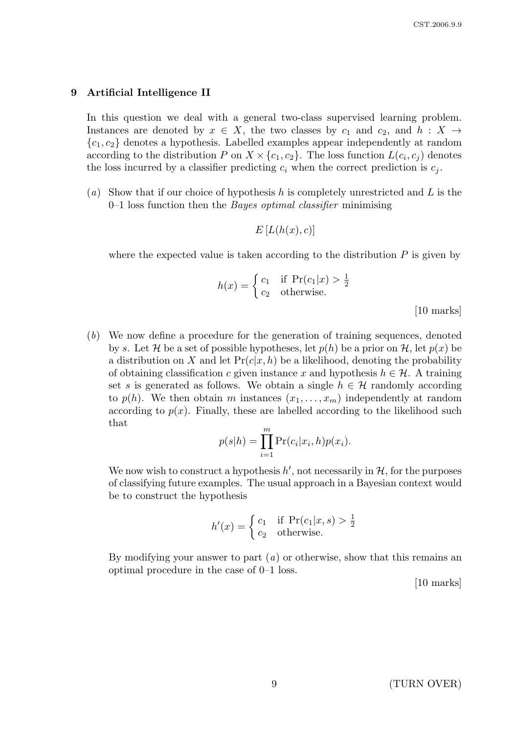#### 9 Artificial Intelligence II

In this question we deal with a general two-class supervised learning problem. Instances are denoted by  $x \in X$ , the two classes by  $c_1$  and  $c_2$ , and  $h : X \rightarrow$  ${c_1, c_2}$  denotes a hypothesis. Labelled examples appear independently at random according to the distribution P on  $X \times \{c_1, c_2\}$ . The loss function  $L(c_i, c_j)$  denotes the loss incurred by a classifier predicting  $c_i$  when the correct prediction is  $c_j$ .

(a) Show that if our choice of hypothesis h is completely unrestricted and L is the  $0-1$  loss function then the *Bayes optimal classifier* minimising

$$
E\left[L(h(x),c)\right]
$$

where the expected value is taken according to the distribution  $P$  is given by

$$
h(x) = \begin{cases} c_1 & \text{if } \Pr(c_1|x) > \frac{1}{2} \\ c_2 & \text{otherwise.} \end{cases}
$$

[10 marks]

(b) We now define a procedure for the generation of training sequences, denoted by s. Let H be a set of possible hypotheses, let  $p(h)$  be a prior on H, let  $p(x)$  be a distribution on X and let  $Pr(c|x, h)$  be a likelihood, denoting the probability of obtaining classification c given instance x and hypothesis  $h \in \mathcal{H}$ . A training set s is generated as follows. We obtain a single  $h \in \mathcal{H}$  randomly according to  $p(h)$ . We then obtain m instances  $(x_1, \ldots, x_m)$  independently at random according to  $p(x)$ . Finally, these are labelled according to the likelihood such that

$$
p(s|h) = \prod_{i=1}^{m} \Pr(c_i|x_i, h)p(x_i).
$$

We now wish to construct a hypothesis  $h'$ , not necessarily in  $H$ , for the purposes of classifying future examples. The usual approach in a Bayesian context would be to construct the hypothesis

$$
h'(x) = \begin{cases} c_1 & \text{if } \Pr(c_1|x, s) > \frac{1}{2} \\ c_2 & \text{otherwise.} \end{cases}
$$

By modifying your answer to part  $(a)$  or otherwise, show that this remains an optimal procedure in the case of 0–1 loss.

[10 marks]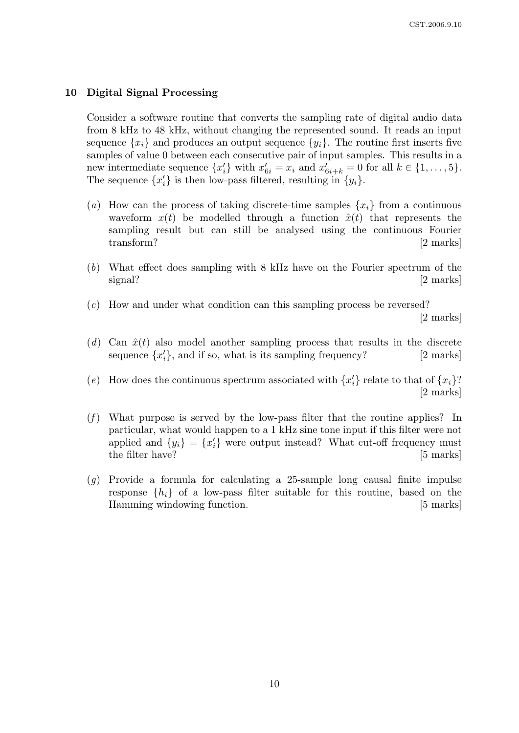### 10 Digital Signal Processing

Consider a software routine that converts the sampling rate of digital audio data from 8 kHz to 48 kHz, without changing the represented sound. It reads an input sequence  $\{x_i\}$  and produces an output sequence  $\{y_i\}$ . The routine first inserts five samples of value 0 between each consecutive pair of input samples. This results in a new intermediate sequence  $\{x'_i\}$  with  $x'_{6i} = x_i$  and  $x'_{6i+k} = 0$  for all  $k \in \{1, \ldots, 5\}$ . The sequence  $\{x'_i\}$  is then low-pass filtered, resulting in  $\{y_i\}$ .

- (a) How can the process of taking discrete-time samples  $\{x_i\}$  from a continuous waveform  $x(t)$  be modelled through a function  $\hat{x}(t)$  that represents the sampling result but can still be analysed using the continuous Fourier transform? [2 marks]
- (b) What effect does sampling with 8 kHz have on the Fourier spectrum of the signal? [2 marks]
- (c) How and under what condition can this sampling process be reversed? [2 marks]
- (d) Can  $\hat{x}(t)$  also model another sampling process that results in the discrete sequence  $\{x'_i\}$ , and if so, what is its sampling frequency? [2 marks]

(e) How does the continuous spectrum associated with  $\{x_i'\}$  relate to that of  $\{x_i\}$ ? [2 marks]

- $(f)$  What purpose is served by the low-pass filter that the routine applies? In particular, what would happen to a 1 kHz sine tone input if this filter were not applied and  $\{y_i\} = \{x'_i\}$  were output instead? What cut-off frequency must the filter have? [5 marks]
- $(q)$  Provide a formula for calculating a 25-sample long causal finite impulse response  $\{h_i\}$  of a low-pass filter suitable for this routine, based on the Hamming windowing function. [5 marks]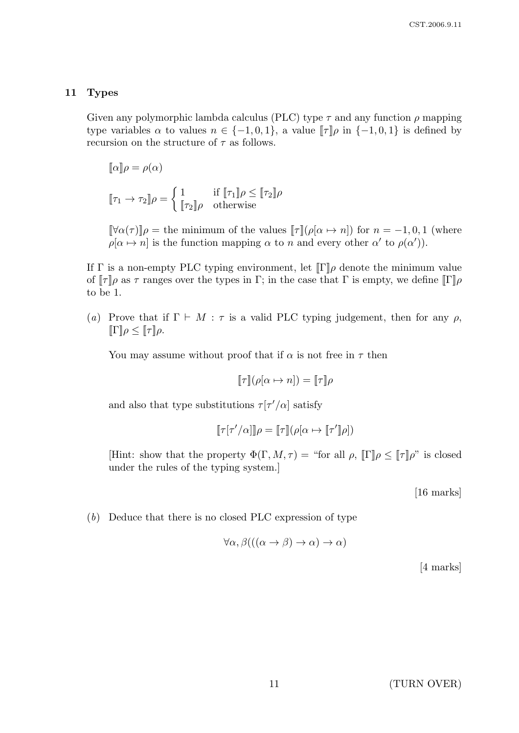## 11 Types

Given any polymorphic lambda calculus (PLC) type  $\tau$  and any function  $\rho$  mapping type variables  $\alpha$  to values  $n \in \{-1,0,1\}$ , a value  $\llbracket \tau \rrbracket \rho$  in  $\{-1,0,1\}$  is defined by recursion on the structure of  $\tau$  as follows.

$$
[\![\alpha]\!] \rho = \rho(\alpha)
$$
  

$$
[\![\tau_1 \to \tau_2]\!] \rho = \begin{cases} 1 & \text{if } [\![\tau_1]\!] \rho \leq [\![\tau_2]\!] \rho \\ [\![\tau_2]\!] \rho & \text{otherwise} \end{cases}
$$

 $[\![\forall \alpha(\tau)]\!] \rho = \text{the minimum of the values } [\![\tau]\!] (\rho[\alpha \mapsto n]) \text{ for } n = -1, 0, 1 \text{ (where } n = 1, 0)$  $\rho[\alpha \mapsto n]$  is the function mapping  $\alpha$  to n and every other  $\alpha'$  to  $\rho(\alpha')$ ).

If  $\Gamma$  is a non-empty PLC typing environment, let  $\llbracket \Gamma \rrbracket \rho$  denote the minimum value of  $[\![\tau]\!] \rho$  as  $\tau$  ranges over the types in Γ; in the case that Γ is empty, we define  $[\![\Gamma]\!] \rho$ to be 1.

(a) Prove that if  $\Gamma \vdash M : \tau$  is a valid PLC typing judgement, then for any  $\rho$ ,  $[\![\Gamma]\!] \rho \leq [\![\tau]\!] \rho.$ 

You may assume without proof that if  $\alpha$  is not free in  $\tau$  then

$$
[\![\tau]\!](\rho[\alpha \mapsto n]) = [\![\tau]\!] \rho
$$

and also that type substitutions  $\tau[\tau'/\alpha]$  satisfy

$$
[\![\tau[\tau'/\alpha]\!] \rho = [\![\tau]\!] (\rho[\alpha \mapsto [\![\tau']\!] \rho])
$$

[Hint: show that the property  $\Phi(\Gamma, M, \tau) =$  "for all  $\rho$ ,  $\|\Gamma\|\rho \leq \|\tau\|\rho$ " is closed under the rules of the typing system.]

[16 marks]

(b) Deduce that there is no closed PLC expression of type

$$
\forall \alpha, \beta(((\alpha \to \beta) \to \alpha) \to \alpha)
$$

[4 marks]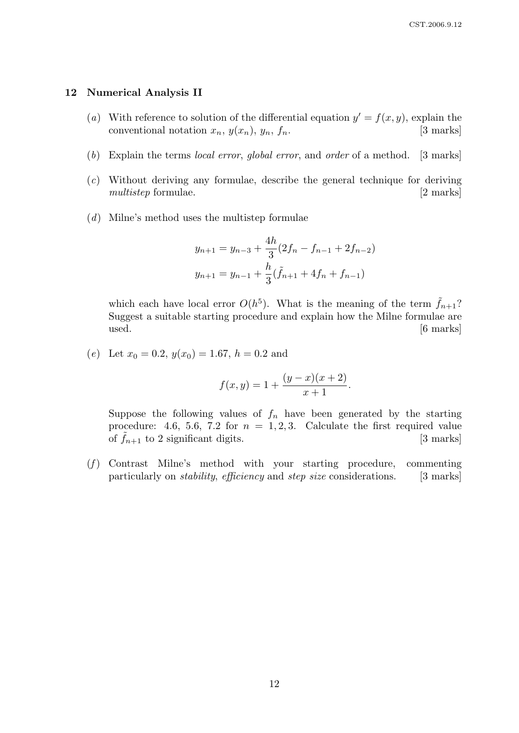#### 12 Numerical Analysis II

- (a) With reference to solution of the differential equation  $y' = f(x, y)$ , explain the conventional notation  $x_n$ ,  $y(x_n)$ ,  $y_n$ ,  $f_n$ . [3 marks]
- (b) Explain the terms local error, global error, and order of a method. [3 marks]
- (c) Without deriving any formulae, describe the general technique for deriving multistep formulae. [2 marks]
- (d) Milne's method uses the multistep formulae

$$
y_{n+1} = y_{n-3} + \frac{4h}{3}(2f_n - f_{n-1} + 2f_{n-2})
$$
  

$$
y_{n+1} = y_{n-1} + \frac{h}{3}(\tilde{f}_{n+1} + 4f_n + f_{n-1})
$$

which each have local error  $O(h^5)$ . What is the meaning of the term  $\tilde{f}_{n+1}$ ? Suggest a suitable starting procedure and explain how the Milne formulae are used. [6 marks]

(e) Let  $x_0 = 0.2$ ,  $y(x_0) = 1.67$ ,  $h = 0.2$  and

$$
f(x,y) = 1 + \frac{(y-x)(x+2)}{x+1}.
$$

Suppose the following values of  $f_n$  have been generated by the starting procedure: 4.6, 5.6, 7.2 for  $n = 1, 2, 3$ . Calculate the first required value of  $\hat{f}_{n+1}$  to 2 significant digits. [3 marks]

 $(f)$  Contrast Milne's method with your starting procedure, commenting particularly on *stability, efficiency* and *step size* considerations. [3 marks]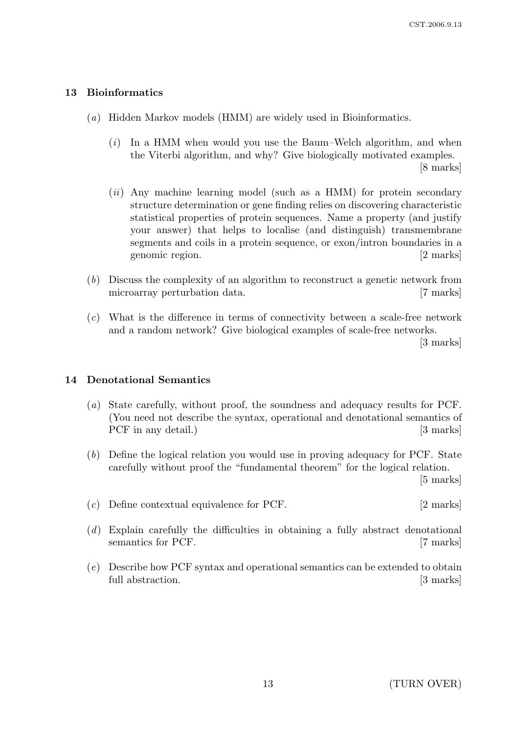## 13 Bioinformatics

- (a) Hidden Markov models (HMM) are widely used in Bioinformatics.
	- (i) In a HMM when would you use the Baum–Welch algorithm, and when the Viterbi algorithm, and why? Give biologically motivated examples. [8 marks]
	- $(ii)$  Any machine learning model (such as a HMM) for protein secondary structure determination or gene finding relies on discovering characteristic statistical properties of protein sequences. Name a property (and justify your answer) that helps to localise (and distinguish) transmembrane segments and coils in a protein sequence, or exon/intron boundaries in a genomic region. [2 marks]
- (b) Discuss the complexity of an algorithm to reconstruct a genetic network from microarray perturbation data. [7 marks]
- (c) What is the difference in terms of connectivity between a scale-free network and a random network? Give biological examples of scale-free networks.

[3 marks]

## 14 Denotational Semantics

- (a) State carefully, without proof, the soundness and adequacy results for PCF. (You need not describe the syntax, operational and denotational semantics of PCF in any detail.) [3 marks]
- (b) Define the logical relation you would use in proving adequacy for PCF. State carefully without proof the "fundamental theorem" for the logical relation. [5 marks]

(c) Define contextual equivalence for PCF. [2 marks]

- (d) Explain carefully the difficulties in obtaining a fully abstract denotational semantics for PCF. [7 marks]
- (e) Describe how PCF syntax and operational semantics can be extended to obtain full abstraction. [3 marks]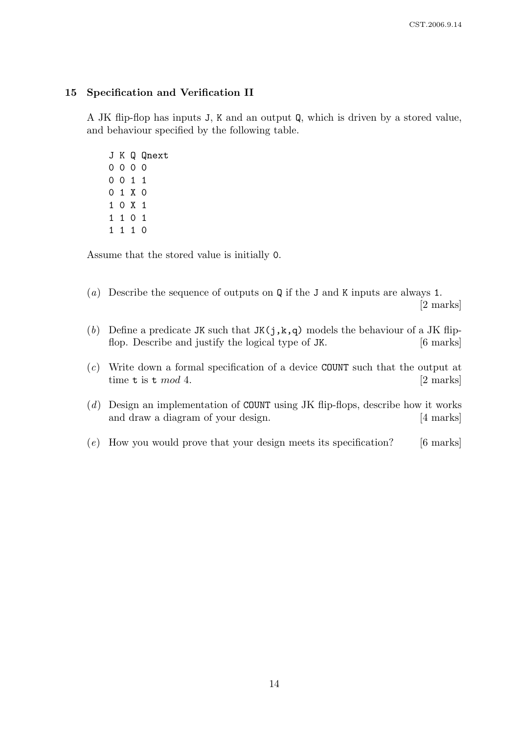## 15 Specification and Verification II

A JK flip-flop has inputs J, K and an output Q, which is driven by a stored value, and behaviour specified by the following table.

Assume that the stored value is initially 0.

- (a) Describe the sequence of outputs on Q if the J and K inputs are always 1. [2 marks]
- (b) Define a predicate JK such that  $JK(j,k,q)$  models the behaviour of a JK flipflop. Describe and justify the logical type of JK. [6 marks]
- (c) Write down a formal specification of a device COUNT such that the output at time t is t  $mod\ 4$ . [2 marks]
- (d) Design an implementation of COUNT using JK flip-flops, describe how it works and draw a diagram of your design. [4 marks]
- (e) How you would prove that your design meets its specification? [6 marks]